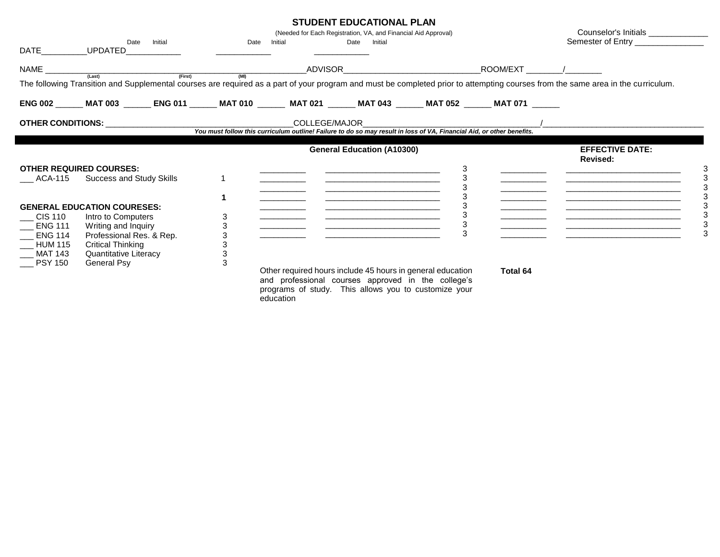| <b>STUDENT EDUCATIONAL PLAN</b> |
|---------------------------------|
|---------------------------------|

| <b>DATE</b>                                                                                      | Initial<br>Date<br>UPDATED____________                                                                                                                                          | Date Initial     |                                                                                                                                                                                       | 919PLNI LP99A119NAL I LAN<br>(Needed for Each Registration, VA, and Financial Aid Approval)<br>Date Initial           |        |                 | Counselor's Initials ________________<br>Semester of Entry _________________                                                                                                              |
|--------------------------------------------------------------------------------------------------|---------------------------------------------------------------------------------------------------------------------------------------------------------------------------------|------------------|---------------------------------------------------------------------------------------------------------------------------------------------------------------------------------------|-----------------------------------------------------------------------------------------------------------------------|--------|-----------------|-------------------------------------------------------------------------------------------------------------------------------------------------------------------------------------------|
|                                                                                                  |                                                                                                                                                                                 |                  |                                                                                                                                                                                       |                                                                                                                       |        |                 | The following Transition and Supplemental courses are required as a part of your program and must be completed prior to attempting courses from the same area in the curriculum.          |
|                                                                                                  | ENG 002 ______ MAT 003 _______ ENG 011 ______ MAT 010 _______ MAT 021 _______ MAT 043 ______ MAT 052 ______ MAT 071 ______                                                      |                  |                                                                                                                                                                                       |                                                                                                                       |        |                 |                                                                                                                                                                                           |
|                                                                                                  |                                                                                                                                                                                 |                  |                                                                                                                                                                                       |                                                                                                                       |        |                 |                                                                                                                                                                                           |
|                                                                                                  |                                                                                                                                                                                 |                  |                                                                                                                                                                                       | <b>General Education (A10300)</b>                                                                                     |        |                 | <b>EFFECTIVE DATE:</b><br><b>Revised:</b>                                                                                                                                                 |
| ACA-115                                                                                          | <b>OTHER REQUIRED COURSES:</b><br>Success and Study Skills                                                                                                                      |                  |                                                                                                                                                                                       | <u> Alexandro de la contrada de la contrada de la contrada de la contrada de la contrada de la contrada de la con</u> | 3      |                 | <u> 1980 - Jan James James, martin amerikan basar dan berasal dalam basa dalam basar dalam basar dalam basa dala</u><br><u> 1980 - Johann John Stone, mars eta biztanleria (h. 1980).</u> |
| $\_$ CIS 110 $\_$<br><b>ENG 111</b><br>$\_$ ENG 114<br>$\_$ HUM 115<br>MAT 143<br><b>PSY 150</b> | <b>GENERAL EDUCATION COURESES:</b><br>Intro to Computers<br>Writing and Inquiry<br>Professional Res. & Rep.<br><b>Critical Thinking</b><br>Quantitative Literacy<br>General Psy | 3<br>3<br>3<br>3 | Other required hours include 45 hours in general education<br>and professional courses approved in the college's<br>programs of study. This allows you to customize your<br>education |                                                                                                                       | 3<br>3 | <b>Total 64</b> | <u> 1989 - Johann Harry Harry Harry Harry Harry Harry Harry Harry Harry Harry Harry Harry Harry Harry Harry Harry</u>                                                                     |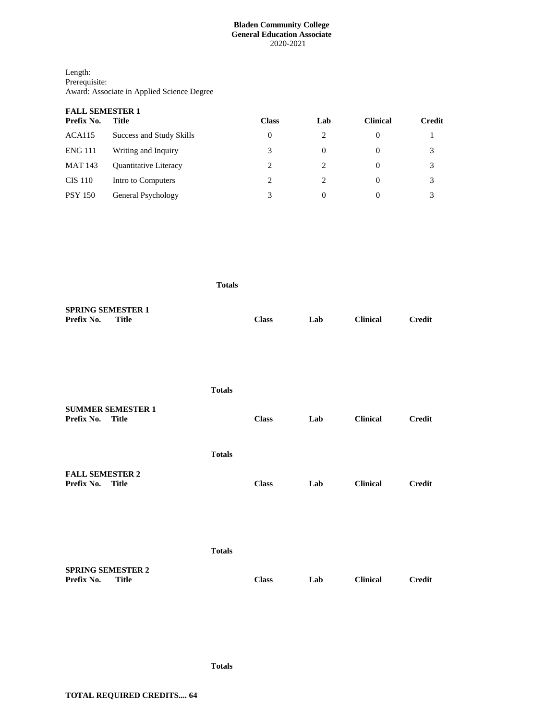# **Bladen Community College General Education Associate** 2020-2021

| Length:                                    |
|--------------------------------------------|
| Prerequisite:                              |
| Award: Associate in Applied Science Degree |

| <b>FALL SEMESTER 1</b> |                              |              |                               |                 |               |  |  |
|------------------------|------------------------------|--------------|-------------------------------|-----------------|---------------|--|--|
| Prefix No.             | Title                        | <b>Class</b> | Lab                           | <b>Clinical</b> | <b>Credit</b> |  |  |
| ACA115                 | Success and Study Skills     | 0            |                               | 0               |               |  |  |
| <b>ENG 111</b>         | Writing and Inquiry          | 3            | 0                             | $\theta$        | 3             |  |  |
| <b>MAT 143</b>         | <b>Ouantitative Literacy</b> | 2            |                               | $\theta$        | 3             |  |  |
| <b>CIS 110</b>         | Intro to Computers           | 2            | $\mathfrak{D}_{\mathfrak{p}}$ | $\theta$        | 3             |  |  |
| <b>PSY 150</b>         | General Psychology           | 3            | 0                             | 0               | 3             |  |  |

|                                                        | <b>Totals</b> |              |     |                 |               |
|--------------------------------------------------------|---------------|--------------|-----|-----------------|---------------|
| <b>SPRING SEMESTER 1</b><br>Prefix No.<br><b>Title</b> |               | <b>Class</b> | Lab | <b>Clinical</b> | <b>Credit</b> |
|                                                        | <b>Totals</b> |              |     |                 |               |
| <b>SUMMER SEMESTER 1</b><br>Prefix No.<br><b>Title</b> |               | <b>Class</b> | Lab | <b>Clinical</b> | <b>Credit</b> |
|                                                        | <b>Totals</b> |              |     |                 |               |
| <b>FALL SEMESTER 2</b><br>Prefix No.<br><b>Title</b>   |               | <b>Class</b> | Lab | <b>Clinical</b> | <b>Credit</b> |
|                                                        |               |              |     |                 |               |
|                                                        | <b>Totals</b> |              |     |                 |               |
| <b>SPRING SEMESTER 2</b><br>Prefix No.<br><b>Title</b> |               | <b>Class</b> | Lab | <b>Clinical</b> | <b>Credit</b> |

**Totals**